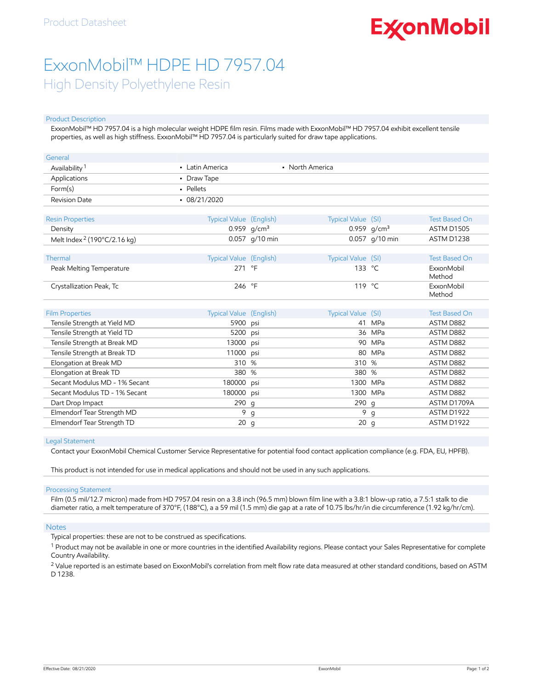# **ExconMobil**

## ExxonMobil™ HDPE HD 7957.04 High Density Polyethylene Resin

#### Product Description

ExxonMobil™ HD 7957.04 is a high molecular weight HDPE film resin. Films made with ExxonMobil™ HD 7957.04 exhibit excellent tensile properties, as well as high stiffness. ExxonMobil™ HD 7957.04 is particularly suited for draw tape applications.

| General                                                |                                 |                |                          |                |                      |
|--------------------------------------------------------|---------------------------------|----------------|--------------------------|----------------|----------------------|
| Availability <sup>1</sup>                              | • Latin America                 |                | • North America          |                |                      |
| Applications                                           | • Draw Tape                     |                |                          |                |                      |
| Form(s)                                                | • Pellets                       |                |                          |                |                      |
| <b>Revision Date</b>                                   | $-08/21/2020$                   |                |                          |                |                      |
| <b>Resin Properties</b>                                | Typical Value (English)         |                | Typical Value (SI)       |                | <b>Test Based On</b> |
| Density                                                |                                 | 0.959 $g/cm^3$ |                          | 0.959 $g/cm^3$ | <b>ASTM D1505</b>    |
| Melt Index <sup>2</sup> (190°C/2.16 kg)                |                                 | 0.057 g/10 min |                          | 0.057 g/10 min | ASTM D1238           |
| Thermal                                                | Typical Value (English)         |                | Typical Value (SI)       |                | <b>Test Based On</b> |
| Peak Melting Temperature                               | 271 °F                          |                | 133 °C                   |                | ExxonMobil<br>Method |
| Crystallization Peak, Tc                               | 246 °F                          |                | 119 °C                   |                | ExxonMobil<br>Method |
|                                                        |                                 |                |                          |                | <b>Test Based On</b> |
| <b>Film Properties</b><br>Tensile Strength at Yield MD | Typical Value (English)<br>5900 |                | Typical Value (SI)<br>41 | MPa            | ASTM D882            |
| Tensile Strength at Yield TD                           | 5200                            | psi            |                          | 36 MPa         | ASTM D882            |
| Tensile Strength at Break MD                           | 13000                           | psi<br>psi     |                          | 90 MPa         | ASTM D882            |
| Tensile Strength at Break TD                           | 11000                           | psi            | 80                       | <b>MPa</b>     | ASTM D882            |
| Elongation at Break MD                                 | 310                             | %              | 310 %                    |                | ASTM D882            |
| Elongation at Break TD                                 | 380                             | %              | 380                      | %              | ASTM D882            |
| Secant Modulus MD - 1% Secant                          | 180000                          | psi            | 1300                     | <b>MPa</b>     | ASTM D882            |
| Secant Modulus TD - 1% Secant                          | 180000                          |                |                          | 1300 MPa       | ASTM D882            |
|                                                        |                                 | psi            | 290 g                    |                | ASTM D1709A          |
| Dart Drop Impact                                       | 290 g                           |                | 9                        |                | ASTM D1922           |
| Elmendorf Tear Strength MD                             | 9                               | g              |                          | $\mathsf{q}$   |                      |
| Elmendorf Tear Strength TD                             | 20                              | $\mathsf{g}$   | 20                       | $\mathsf{q}$   | ASTM D1922           |

#### Legal Statement

Contact your ExxonMobil Chemical Customer Service Representative for potential food contact application compliance (e.g. FDA, EU, HPFB).

This product is not intended for use in medical applications and should not be used in any such applications.

#### Processing Statement

Film (0.5 mil/12.7 micron) made from HD 7957.04 resin on a 3.8 inch (96.5 mm) blown film line with a 3.8:1 blow-up ratio, a 7.5:1 stalk to die diameter ratio, a melt temperature of 370°F, (188°C), a a 59 mil (1.5 mm) die gap at a rate of 10.75 lbs/hr/in die circumference (1.92 kg/hr/cm).

#### Notes

Typical properties: these are not to be construed as specifications.

 $^1$  Product may not be available in one or more countries in the identified Availability regions. Please contact your Sales Representative for complete Country Availability.

 $^2$  Value reported is an estimate based on ExxonMobil's correlation from melt flow rate data measured at other standard conditions, based on ASTM D 1238.